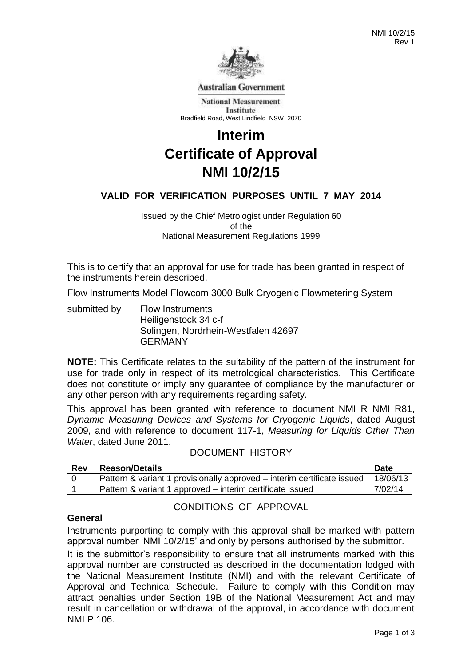

**Australian Government** 

**National Measurement Institute** Bradfield Road, West Lindfield NSW 2070

# **Interim Certificate of Approval NMI 10/2/15**

# **VALID FOR VERIFICATION PURPOSES UNTIL 7 MAY 2014**

Issued by the Chief Metrologist under Regulation 60 of the National Measurement Regulations 1999

This is to certify that an approval for use for trade has been granted in respect of the instruments herein described.

Flow Instruments Model Flowcom 3000 Bulk Cryogenic Flowmetering System

submitted by Flow Instruments Heiligenstock 34 c-f Solingen, Nordrhein-Westfalen 42697 GERMANY

**NOTE:** This Certificate relates to the suitability of the pattern of the instrument for use for trade only in respect of its metrological characteristics. This Certificate does not constitute or imply any guarantee of compliance by the manufacturer or any other person with any requirements regarding safety.

This approval has been granted with reference to document NMI R NMI R81, *Dynamic Measuring Devices and Systems for Cryogenic Liquids*, dated August 2009, and with reference to document 117-1, *Measuring for Liquids Other Than Water*, dated June 2011.

# DOCUMENT HISTORY

| <b>Rev</b> | <b>Reason/Details</b>                                                   | <b>Date</b> |
|------------|-------------------------------------------------------------------------|-------------|
|            | Pattern & variant 1 provisionally approved – interim certificate issued | 18/06/13    |
|            | Pattern & variant 1 approved – interim certificate issued               | 7/02/14     |

### **General**

# CONDITIONS OF APPROVAL

Instruments purporting to comply with this approval shall be marked with pattern approval number 'NMI 10/2/15' and only by persons authorised by the submittor.

It is the submittor's responsibility to ensure that all instruments marked with this approval number are constructed as described in the documentation lodged with the National Measurement Institute (NMI) and with the relevant Certificate of Approval and Technical Schedule. Failure to comply with this Condition may attract penalties under Section 19B of the National Measurement Act and may result in cancellation or withdrawal of the approval, in accordance with document NMI P 106.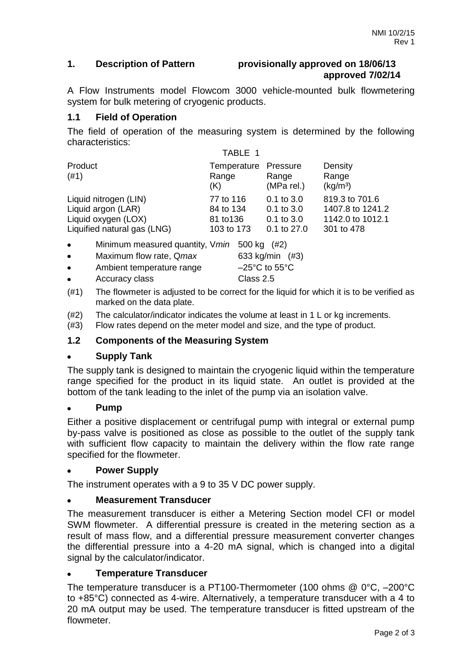# **1. Description of Pattern provisionally approved on 18/06/13 approved 7/02/14**

A Flow Instruments model Flowcom 3000 vehicle-mounted bulk flowmetering system for bulk metering of cryogenic products.

# **1.1 Field of Operation**

The field of operation of the measuring system is determined by the following characteristics:  $T \cap D \subset I$ 

|                                                                                                   | IABLE 1                                           |                                                                   |                                                                      |
|---------------------------------------------------------------------------------------------------|---------------------------------------------------|-------------------------------------------------------------------|----------------------------------------------------------------------|
| Product<br>(#1)                                                                                   | Temperature Pressure<br>Range<br>(K)              | Range<br>(MPa rel.)                                               | Density<br>Range<br>(kg/m <sup>3</sup> )                             |
| Liquid nitrogen (LIN)<br>Liquid argon (LAR)<br>Liquid oxygen (LOX)<br>Liquified natural gas (LNG) | 77 to 116<br>84 to 134<br>81 to 136<br>103 to 173 | $0.1$ to $3.0$<br>$0.1$ to $3.0$<br>$0.1$ to $3.0$<br>0.1 to 27.0 | 819.3 to 701.6<br>1407.8 to 1241.2<br>1142.0 to 1012.1<br>301 to 478 |

Minimum measured quantity, V*min* 500 kg (#2)  $\bullet$ 

| $\bullet$ | Maximum flow rate, Qmax   | 633 kg/min (#3)                    |
|-----------|---------------------------|------------------------------------|
| $\bullet$ | Ambient temperature range | $-25^{\circ}$ C to 55 $^{\circ}$ C |
| $\bullet$ | Accuracy class            | Class 2.5                          |

- (#1) The flowmeter is adjusted to be correct for the liquid for which it is to be verified as marked on the data plate.
- (#2) The calculator/indicator indicates the volume at least in 1 L or kg increments.
- (#3) Flow rates depend on the meter model and size, and the type of product.

# **1.2 Components of the Measuring System**

### **Supply Tank**

The supply tank is designed to maintain the cryogenic liquid within the temperature range specified for the product in its liquid state. An outlet is provided at the bottom of the tank leading to the inlet of the pump via an isolation valve.

### **Pump**

Either a positive displacement or centrifugal pump with integral or external pump by-pass valve is positioned as close as possible to the outlet of the supply tank with sufficient flow capacity to maintain the delivery within the flow rate range specified for the flowmeter.

### **Power Supply**

The instrument operates with a 9 to 35 V DC power supply.

### **Measurement Transducer**

The measurement transducer is either a Metering Section model CFI or model SWM flowmeter. A differential pressure is created in the metering section as a result of mass flow, and a differential pressure measurement converter changes the differential pressure into a 4-20 mA signal, which is changed into a digital signal by the calculator/indicator.

# **Temperature Transducer**

The temperature transducer is a PT100-Thermometer (100 ohms @ 0°C, –200°C to +85°C) connected as 4-wire. Alternatively, a temperature transducer with a 4 to 20 mA output may be used. The temperature transducer is fitted upstream of the flowmeter.